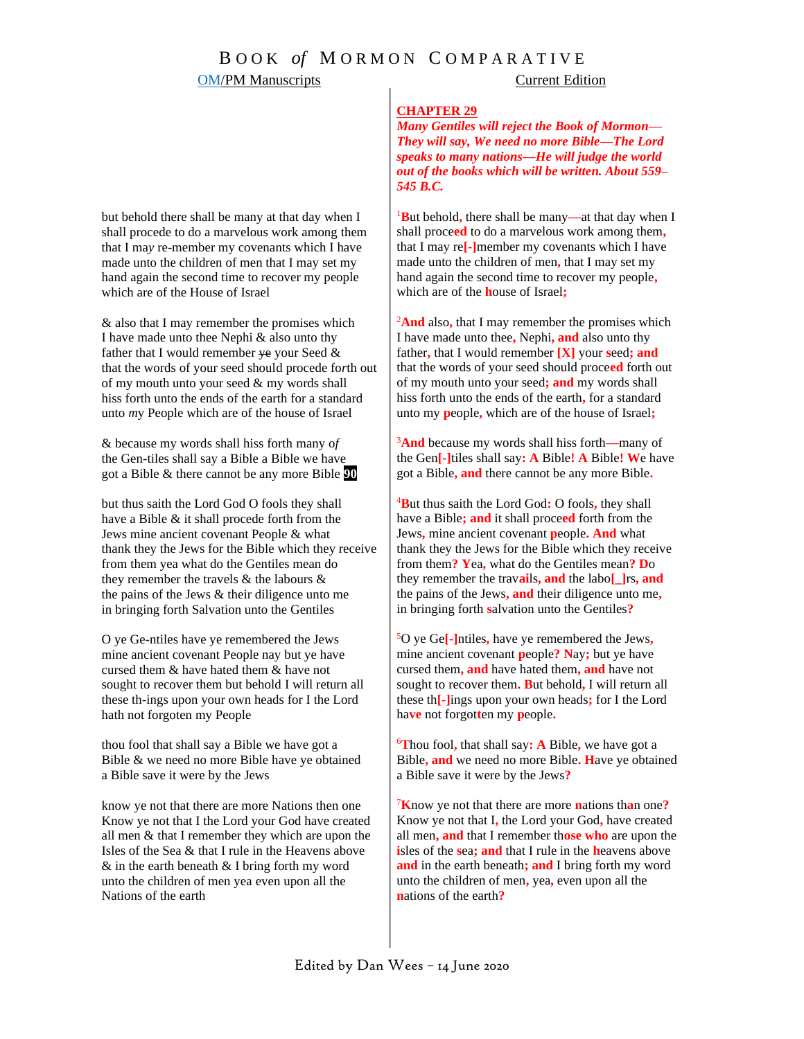### **CHAPTER 29**

*Many Gentiles will reject the Book of Mormon— They will say, We need no more Bible—The Lord speaks to many nations—He will judge the world out of the books which will be written. About 559– 545 B.C.*

<sup>1</sup>**B**ut behold**,** there shall be many**—**at that day when I shall proce**ed** to do a marvelous work among them**,** that I may re**[-]**member my covenants which I have made unto the children of men**,** that I may set my hand again the second time to recover my people**,** which are of the **h**ouse of Israel**;**

<sup>2</sup>**And** also**,** that I may remember the promises which I have made unto thee**,** Nephi**, and** also unto thy father**,** that I would remember **[X]** your **s**eed**; and**  that the words of your seed should proce**ed** forth out of my mouth unto your seed**; and** my words shall hiss forth unto the ends of the earth**,** for a standard unto my **p**eople**,** which are of the house of Israel**;**

<sup>3</sup>**And** because my words shall hiss forth**—**many of the Gen**[-]**tiles shall say**: A** Bible**! A** Bible**! W**e have got a Bible**, and** there cannot be any more Bible**.**

<sup>4</sup>**B**ut thus saith the Lord God**:** O fools**,** they shall have a Bible**; and** it shall proce**ed** forth from the Jews**,** mine ancient covenant **p**eople**. And** what thank they the Jews for the Bible which they receive from them**? Y**ea**,** what do the Gentiles mean**? D**o they remember the trav**ai**ls**, and** the labo**[\_]**rs**, and** the pains of the Jews**, and** their diligence unto me**,**  in bringing forth **s**alvation unto the Gentiles**?**

<sup>5</sup>O ye Ge**[-]**ntiles**,** have ye remembered the Jews**,**  mine ancient covenant **p**eople**? N**ay**;** but ye have cursed them**, and** have hated them**, and** have not sought to recover them**. B**ut behold**,** I will return all these th**[-]**ings upon your own heads**;** for I the Lord ha**ve** not forgot**t**en my **p**eople**.**

<sup>6</sup>**T**hou fool**,** that shall say**: A** Bible**,** we have got a Bible**, and** we need no more Bible**. H**ave ye obtained a Bible save it were by the Jews**?**

<sup>7</sup>**K**now ye not that there are more **n**ations th**a**n one**?**  Know ye not that I**,** the Lord your God**,** have created all men**, and** that I remember th**ose who** are upon the **i**sles of the **s**ea**; and** that I rule in the **h**eavens above **and** in the earth beneath**; and** I bring forth my word unto the children of men**,** yea**,** even upon all the **n**ations of the earth**?**

but behold there shall be many at that day when I shall procede to do a marvelous work among them that I ma*y* re-member my covenants which I have made unto the children of men that I may set my hand again the second time to recover my people which are of the House of Israel

& also that I may remember the promises which I have made unto thee Nephi & also unto thy father that I would remember  $y$ e your Seed  $\&$ that the words of your seed should procede fo*r*th out of my mouth unto your seed & my words shall hiss forth unto the ends of the earth for a standard unto *m*y People which are of the house of Israel

& because my words shall hiss forth many o*f* the Gen-tiles shall say a Bible a Bible we have got a Bible & there cannot be any more Bible **90**

but thus saith the Lord God O fools they shall have a Bible & it shall procede forth from the Jews mine ancient covenant People & what thank they the Jews for the Bible which they receive from them yea what do the Gentiles mean do they remember the travels & the labours & the pains of the Jews & their diligence unto me in bringing forth Salvation unto the Gentiles

O ye Ge-ntiles have ye remembered the Jews mine ancient covenant People nay but ye have cursed them & have hated them & have not sought to recover them but behold I will return all these th-ings upon your own heads for I the Lord hath not forgoten my People

thou fool that shall say a Bible we have got a Bible & we need no more Bible have ye obtained a Bible save it were by the Jews

know ye not that there are more Nations then one Know ye not that I the Lord your God have created all men & that I remember they which are upon the Isles of the Sea & that I rule in the Heavens above & in the earth beneath & I bring forth my word unto the children of men yea even upon all the Nations of the earth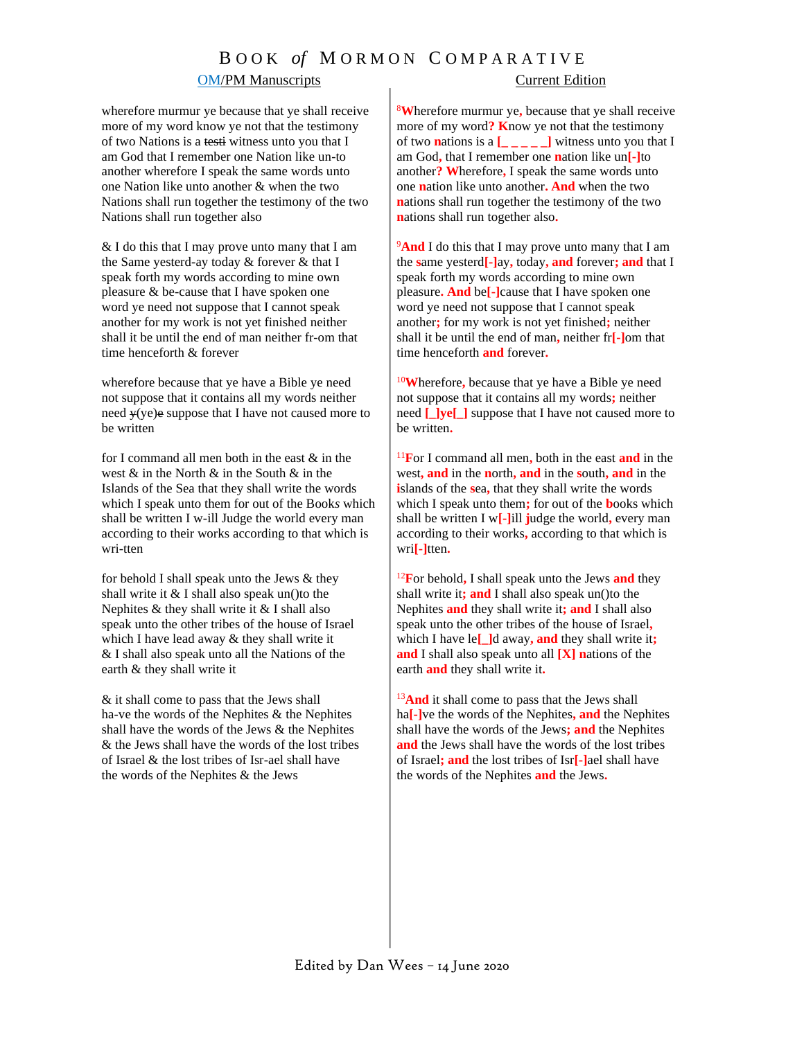# B O O K *of* M O R M O N C O M P A R A T I V E

### **OM/PM Manuscripts** Current Edition

wherefore murmur ye because that ye shall receive more of my word know ye not that the testimony of two Nations is a testi witness unto you that I am God that I remember one Nation like un-to another wherefore I speak the same words unto one Nation like unto another & when the two Nations shall run together the testimony of the two Nations shall run together also

& I do this that I may prove unto many that I am the Same yesterd-ay today & forever & that I speak forth my words according to mine own pleasure & be-cause that I have spoken one word ye need not suppose that I cannot speak another for my work is not yet finished neither shall it be until the end of man neither fr-om that time henceforth & forever

wherefore because that ye have a Bible ye need not suppose that it contains all my words neither need  $\psi$ (ye)e suppose that I have not caused more to be written

for I command all men both in the east  $\&$  in the west  $\&$  in the North  $\&$  in the South  $\&$  in the Islands of the Sea that they shall write the words which I speak unto them for out of the Book*s* which shall be written I w-ill Judge the world every man according to their works according to that which is wri-tten

for behold I shall *s*peak unto the Jews & they shall write it  $&$  I shall also speak un()to the Nephites  $&$  they shall write it  $&$  I shall also speak unto the other tribes of the house of Israel which I have lead away & they shall write it & I shall also speak unto all the Nations of the earth & they shall write it

& it shall come to pass that the Jews shall ha-ve the words of the Nephites & the Nephites shall have the words of the Jews & the Nephites & the Jews shall have the words of the lost tribes of Israel & the lost tribes of Isr-ael shall have the words of the Nephites & the Jews

<sup>8</sup>**W**herefore murmur ye**,** because that ye shall receive more of my word**? K**now ye not that the testimony of two **n**ations is a  $\begin{bmatrix} 1 & 0 \\ 0 & -1 \end{bmatrix}$  witness unto you that I am God**,** that I remember one **n**ation like un**[-]**to another**? W**herefore**,** I speak the same words unto one **n**ation like unto another**. And** when the two **n**ations shall run together the testimony of the two **n**ations shall run together also**.**

<sup>9</sup>And I do this that I may prove unto many that I am the **s**ame yesterd**[-]**ay**,** today**, and** forever**; and** that I speak forth my words according to mine own pleasure**. And** be**[-]**cause that I have spoken one word ye need not suppose that I cannot speak another**;** for my work is not yet finished**;** neither shall it be until the end of man**,** neither fr**[-]**om that time henceforth **and** forever**.** 

<sup>10</sup>**W**herefore**,** because that ye have a Bible ye need not suppose that it contains all my words**;** neither need **[\_]ye** | suppose that I have not caused more to be written**.**

<sup>11</sup>**F**or I command all men**,** both in the east **and** in the west**, and** in the **n**orth**, and** in the **s**outh**, and** in the **i**slands of the **s**ea**,** that they shall write the words which I speak unto them**;** for out of the **b**ooks which shall be written I w**[-]**ill **j**udge the world**,** every man according to their works**,** according to that which is wri**[-]**tten**.**

<sup>12</sup>**F**or behold**,** I shall speak unto the Jews **and** they shall write it; and I shall also speak un()to the Nephites **and** they shall write it**; and** I shall also speak unto the other tribes of the house of Israel**,** which I have le**[\_]**d away**, and** they shall write it**; and** I shall also speak unto all **[X] n**ations of the earth **and** they shall write it**.**

<sup>13</sup>And it shall come to pass that the Jews shall ha**[-]**ve the words of the Nephites**, and** the Nephites shall have the words of the Jews**; and** the Nephites **and** the Jews shall have the words of the lost tribes of Israel**; and** the lost tribes of Isr**[-]**ael shall have the words of the Nephites **and** the Jews**.**